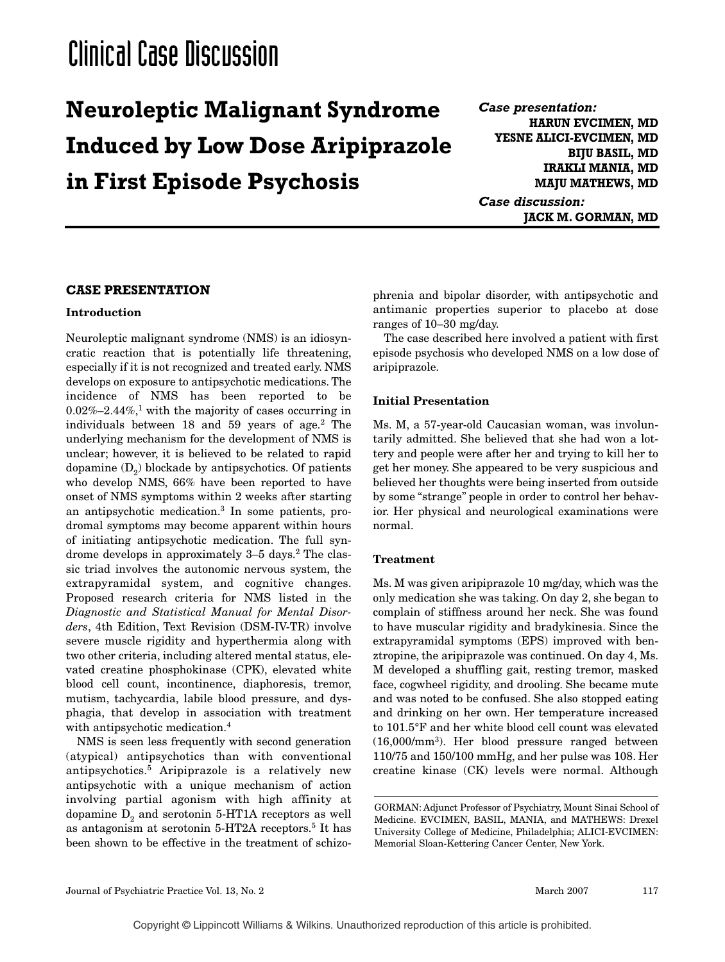# Clinical Case Discussion

# **Neuroleptic Malignant Syndrome Induced by Low Dose Aripiprazole in First Episode Psychosis**

*Case presentation:* **HARUN EVCIMEN, MD YESNE ALICI-EVCIMEN, MD BIJU BASIL, MD IRAKLI MANIA, MD MAJU MATHEWS, MD**

*Case discussion:* **JACK M. GORMAN, MD**

### **CASE PRESENTATION**

### **Introduction**

Neuroleptic malignant syndrome (NMS) is an idiosyncratic reaction that is potentially life threatening, especially if it is not recognized and treated early. NMS develops on exposure to antipsychotic medications. The incidence of NMS has been reported to be  $0.02\% - 2.44\%,$ <sup>1</sup> with the majority of cases occurring in individuals between 18 and 59 years of age.2 The underlying mechanism for the development of NMS is unclear; however, it is believed to be related to rapid dopamine  $(D<sub>2</sub>)$  blockade by antipsychotics. Of patients who develop NMS, 66% have been reported to have onset of NMS symptoms within 2 weeks after starting an antipsychotic medication.3 In some patients, prodromal symptoms may become apparent within hours of initiating antipsychotic medication. The full syndrome develops in approximately 3–5 days.2 The classic triad involves the autonomic nervous system, the extrapyramidal system, and cognitive changes. Proposed research criteria for NMS listed in the *Diagnostic and Statistical Manual for Mental Disorders*, 4th Edition, Text Revision (DSM-IV-TR) involve severe muscle rigidity and hyperthermia along with two other criteria, including altered mental status, elevated creatine phosphokinase (CPK), elevated white blood cell count, incontinence, diaphoresis, tremor, mutism, tachycardia, labile blood pressure, and dysphagia, that develop in association with treatment with antipsychotic medication.<sup>4</sup>

NMS is seen less frequently with second generation (atypical) antipsychotics than with conventional antipsychotics.5 Aripiprazole is a relatively new antipsychotic with a unique mechanism of action involving partial agonism with high affinity at dopamine  $D_2$  and serotonin 5-HT1A receptors as well as antagonism at serotonin 5-HT2A receptors.5 It has been shown to be effective in the treatment of schizophrenia and bipolar disorder, with antipsychotic and antimanic properties superior to placebo at dose ranges of 10–30 mg/day.

The case described here involved a patient with first episode psychosis who developed NMS on a low dose of aripiprazole.

### **Initial Presentation**

Ms. M, a 57-year-old Caucasian woman, was involuntarily admitted. She believed that she had won a lottery and people were after her and trying to kill her to get her money. She appeared to be very suspicious and believed her thoughts were being inserted from outside by some "strange" people in order to control her behavior. Her physical and neurological examinations were normal.

### **Treatment**

Ms. M was given aripiprazole 10 mg/day, which was the only medication she was taking. On day 2, she began to complain of stiffness around her neck. She was found to have muscular rigidity and bradykinesia. Since the extrapyramidal symptoms (EPS) improved with benztropine, the aripiprazole was continued. On day 4, Ms. M developed a shuffling gait, resting tremor, masked face, cogwheel rigidity, and drooling. She became mute and was noted to be confused. She also stopped eating and drinking on her own. Her temperature increased to 101.5°F and her white blood cell count was elevated (16,000/mm3). Her blood pressure ranged between 110/75 and 150/100 mmHg, and her pulse was 108. Her creatine kinase (CK) levels were normal. Although

GORMAN: Adjunct Professor of Psychiatry, Mount Sinai School of Medicine. EVCIMEN, BASIL, MANIA, and MATHEWS: Drexel University College of Medicine, Philadelphia; ALICI-EVCIMEN: Memorial Sloan-Kettering Cancer Center, New York.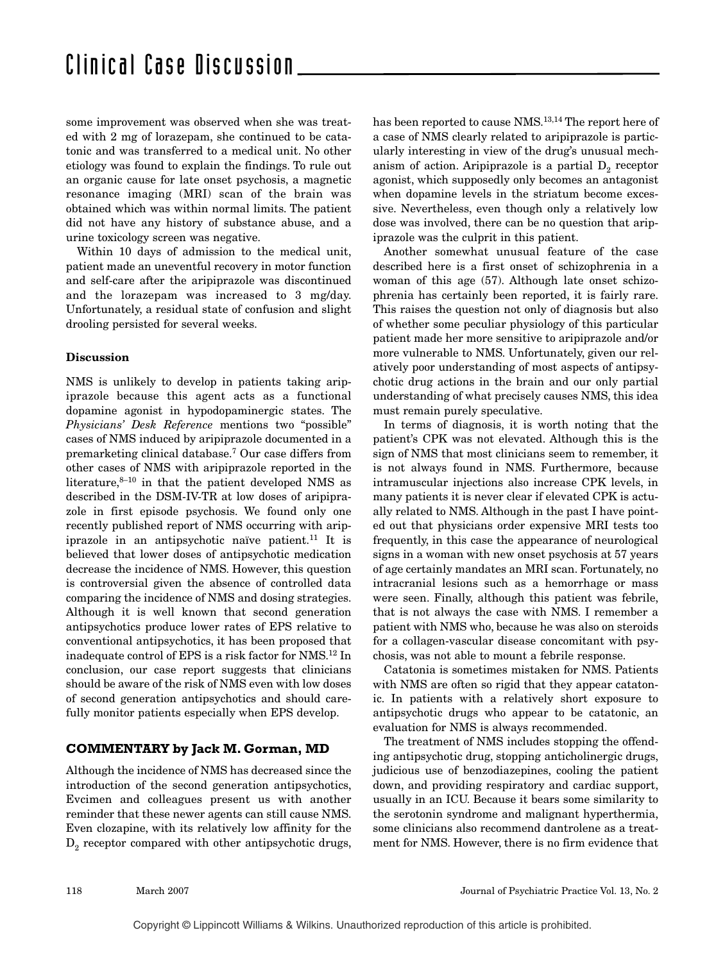### Clinical Case Discussion

some improvement was observed when she was treated with 2 mg of lorazepam, she continued to be catatonic and was transferred to a medical unit. No other etiology was found to explain the findings. To rule out an organic cause for late onset psychosis, a magnetic resonance imaging (MRI) scan of the brain was obtained which was within normal limits. The patient did not have any history of substance abuse, and a urine toxicology screen was negative.

Within 10 days of admission to the medical unit, patient made an uneventful recovery in motor function and self-care after the aripiprazole was discontinued and the lorazepam was increased to 3 mg/day. Unfortunately, a residual state of confusion and slight drooling persisted for several weeks.

#### **Discussion**

NMS is unlikely to develop in patients taking aripiprazole because this agent acts as a functional dopamine agonist in hypodopaminergic states. The *Physicians' Desk Reference* mentions two "possible" cases of NMS induced by aripiprazole documented in a premarketing clinical database.7 Our case differs from other cases of NMS with aripiprazole reported in the literature, $8-10$  in that the patient developed NMS as described in the DSM-IV-TR at low doses of aripiprazole in first episode psychosis. We found only one recently published report of NMS occurring with aripiprazole in an antipsychotic naïve patient.11 It is believed that lower doses of antipsychotic medication decrease the incidence of NMS. However, this question is controversial given the absence of controlled data comparing the incidence of NMS and dosing strategies. Although it is well known that second generation antipsychotics produce lower rates of EPS relative to conventional antipsychotics, it has been proposed that inadequate control of EPS is a risk factor for NMS.12 In conclusion, our case report suggests that clinicians should be aware of the risk of NMS even with low doses of second generation antipsychotics and should carefully monitor patients especially when EPS develop.

### **COMMENTARY by Jack M. Gorman, MD**

Although the incidence of NMS has decreased since the introduction of the second generation antipsychotics, Evcimen and colleagues present us with another reminder that these newer agents can still cause NMS. Even clozapine, with its relatively low affinity for the  $D_2$  receptor compared with other antipsychotic drugs,

has been reported to cause NMS.<sup>13,14</sup> The report here of a case of NMS clearly related to aripiprazole is particularly interesting in view of the drug's unusual mechanism of action. Aripiprazole is a partial  $D<sub>2</sub>$  receptor agonist, which supposedly only becomes an antagonist when dopamine levels in the striatum become excessive. Nevertheless, even though only a relatively low dose was involved, there can be no question that aripiprazole was the culprit in this patient.

Another somewhat unusual feature of the case described here is a first onset of schizophrenia in a woman of this age (57). Although late onset schizophrenia has certainly been reported, it is fairly rare. This raises the question not only of diagnosis but also of whether some peculiar physiology of this particular patient made her more sensitive to aripiprazole and/or more vulnerable to NMS. Unfortunately, given our relatively poor understanding of most aspects of antipsychotic drug actions in the brain and our only partial understanding of what precisely causes NMS, this idea must remain purely speculative.

In terms of diagnosis, it is worth noting that the patient's CPK was not elevated. Although this is the sign of NMS that most clinicians seem to remember, it is not always found in NMS. Furthermore, because intramuscular injections also increase CPK levels, in many patients it is never clear if elevated CPK is actually related to NMS. Although in the past I have pointed out that physicians order expensive MRI tests too frequently, in this case the appearance of neurological signs in a woman with new onset psychosis at 57 years of age certainly mandates an MRI scan. Fortunately, no intracranial lesions such as a hemorrhage or mass were seen. Finally, although this patient was febrile, that is not always the case with NMS. I remember a patient with NMS who, because he was also on steroids for a collagen-vascular disease concomitant with psychosis, was not able to mount a febrile response.

Catatonia is sometimes mistaken for NMS. Patients with NMS are often so rigid that they appear catatonic. In patients with a relatively short exposure to antipsychotic drugs who appear to be catatonic, an evaluation for NMS is always recommended.

The treatment of NMS includes stopping the offending antipsychotic drug, stopping anticholinergic drugs, judicious use of benzodiazepines, cooling the patient down, and providing respiratory and cardiac support, usually in an ICU. Because it bears some similarity to the serotonin syndrome and malignant hyperthermia, some clinicians also recommend dantrolene as a treatment for NMS. However, there is no firm evidence that